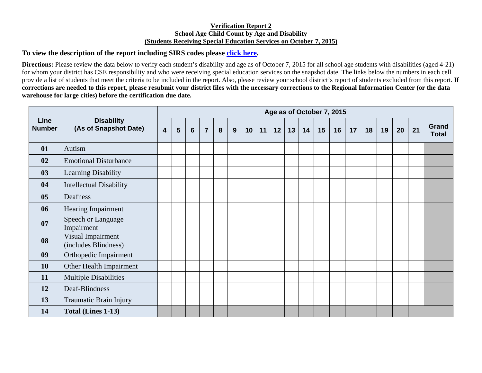## **Verification Report 2 School Age Child Count by Age and Disability (Students Receiving Special Education Services on October 7, 2015)**

## **To view the description of the report including SIRS codes please click here.**

**Directions:** Please review the data below to verify each student's disability and age as of October 7, 2015 for all school age students with disabilities (aged 4-21) for whom your district has CSE responsibility and who were receiving special education services on the snapshot date. The links below the numbers in each cell provide a list of students that meet the criteria to be included in the report. Also, please review your school district's report of students excluded from this report. **If corrections are needed to this report, please resubmit your district files with the necessary corrections to the Regional Information Center (or the data warehouse for large cities) before the certification due date.** 

| Line<br><b>Number</b> | <b>Disability</b><br>(As of Snapshot Date) | Age as of October 7, 2015 |   |                 |                |   |   |    |    |    |    |    |    |    |    |    |    |    |    |                       |
|-----------------------|--------------------------------------------|---------------------------|---|-----------------|----------------|---|---|----|----|----|----|----|----|----|----|----|----|----|----|-----------------------|
|                       |                                            | $\overline{\mathbf{4}}$   | 5 | $6\phantom{1}6$ | $\overline{7}$ | 8 | 9 | 10 | 11 | 12 | 13 | 14 | 15 | 16 | 17 | 18 | 19 | 20 | 21 | Grand<br><b>Total</b> |
| 01                    | Autism                                     |                           |   |                 |                |   |   |    |    |    |    |    |    |    |    |    |    |    |    |                       |
| 02                    | <b>Emotional Disturbance</b>               |                           |   |                 |                |   |   |    |    |    |    |    |    |    |    |    |    |    |    |                       |
| 03                    | Learning Disability                        |                           |   |                 |                |   |   |    |    |    |    |    |    |    |    |    |    |    |    |                       |
| 04                    | <b>Intellectual Disability</b>             |                           |   |                 |                |   |   |    |    |    |    |    |    |    |    |    |    |    |    |                       |
| 05                    | Deafness                                   |                           |   |                 |                |   |   |    |    |    |    |    |    |    |    |    |    |    |    |                       |
| 06                    | Hearing Impairment                         |                           |   |                 |                |   |   |    |    |    |    |    |    |    |    |    |    |    |    |                       |
| 07                    | Speech or Language<br>Impairment           |                           |   |                 |                |   |   |    |    |    |    |    |    |    |    |    |    |    |    |                       |
| 08                    | Visual Impairment<br>(includes Blindness)  |                           |   |                 |                |   |   |    |    |    |    |    |    |    |    |    |    |    |    |                       |
| 09                    | Orthopedic Impairment                      |                           |   |                 |                |   |   |    |    |    |    |    |    |    |    |    |    |    |    |                       |
| <b>10</b>             | Other Health Impairment                    |                           |   |                 |                |   |   |    |    |    |    |    |    |    |    |    |    |    |    |                       |
| 11                    | <b>Multiple Disabilities</b>               |                           |   |                 |                |   |   |    |    |    |    |    |    |    |    |    |    |    |    |                       |
| 12                    | Deaf-Blindness                             |                           |   |                 |                |   |   |    |    |    |    |    |    |    |    |    |    |    |    |                       |
| 13                    | Traumatic Brain Injury                     |                           |   |                 |                |   |   |    |    |    |    |    |    |    |    |    |    |    |    |                       |
| 14                    | Total (Lines 1-13)                         |                           |   |                 |                |   |   |    |    |    |    |    |    |    |    |    |    |    |    |                       |